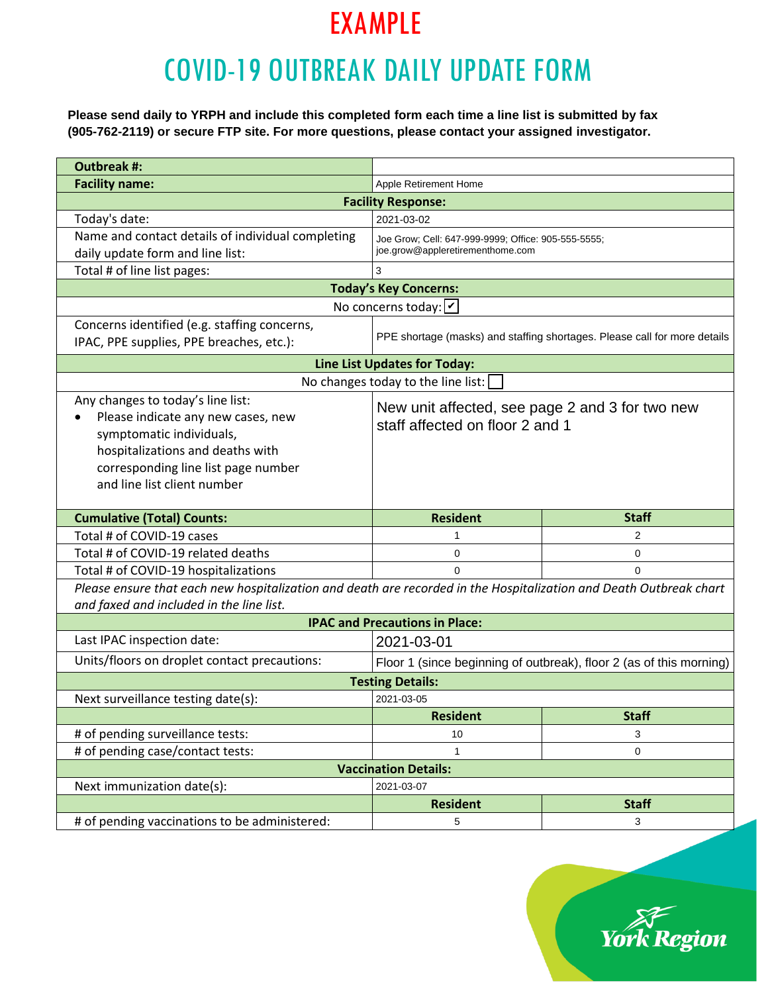# COVID-19 OUTBREAK DAILY UPDATE FORM

**Please send daily to YRPH and include this completed form each time a line list is submitted by fax (905-762-2119) or secure FTP site. For more questions, please contact your assigned investigator.**

| <b>Outbreak #:</b>                                                                                                        |                                                     |                                                                     |  |  |  |  |  |  |  |
|---------------------------------------------------------------------------------------------------------------------------|-----------------------------------------------------|---------------------------------------------------------------------|--|--|--|--|--|--|--|
| <b>Facility name:</b>                                                                                                     | Apple Retirement Home                               |                                                                     |  |  |  |  |  |  |  |
|                                                                                                                           | <b>Facility Response:</b>                           |                                                                     |  |  |  |  |  |  |  |
| Today's date:                                                                                                             | 2021-03-02                                          |                                                                     |  |  |  |  |  |  |  |
| Name and contact details of individual completing                                                                         | Joe Grow; Cell: 647-999-9999; Office: 905-555-5555; |                                                                     |  |  |  |  |  |  |  |
| daily update form and line list:                                                                                          | joe.grow@appleretirementhome.com                    |                                                                     |  |  |  |  |  |  |  |
| Total # of line list pages:                                                                                               | 3                                                   |                                                                     |  |  |  |  |  |  |  |
|                                                                                                                           | <b>Today's Key Concerns:</b>                        |                                                                     |  |  |  |  |  |  |  |
|                                                                                                                           | No concerns today: $ v $                            |                                                                     |  |  |  |  |  |  |  |
| Concerns identified (e.g. staffing concerns,<br>PPE shortage (masks) and staffing shortages. Please call for more details |                                                     |                                                                     |  |  |  |  |  |  |  |
| IPAC, PPE supplies, PPE breaches, etc.):                                                                                  |                                                     |                                                                     |  |  |  |  |  |  |  |
|                                                                                                                           | <b>Line List Updates for Today:</b>                 |                                                                     |  |  |  |  |  |  |  |
|                                                                                                                           | No changes today to the line list:                  |                                                                     |  |  |  |  |  |  |  |
| Any changes to today's line list:                                                                                         | New unit affected, see page 2 and 3 for two new     |                                                                     |  |  |  |  |  |  |  |
| Please indicate any new cases, new                                                                                        | staff affected on floor 2 and 1                     |                                                                     |  |  |  |  |  |  |  |
| symptomatic individuals,                                                                                                  |                                                     |                                                                     |  |  |  |  |  |  |  |
| hospitalizations and deaths with                                                                                          |                                                     |                                                                     |  |  |  |  |  |  |  |
| corresponding line list page number                                                                                       |                                                     |                                                                     |  |  |  |  |  |  |  |
| and line list client number                                                                                               |                                                     |                                                                     |  |  |  |  |  |  |  |
| <b>Cumulative (Total) Counts:</b>                                                                                         | <b>Resident</b>                                     | <b>Staff</b>                                                        |  |  |  |  |  |  |  |
| Total # of COVID-19 cases                                                                                                 | 1                                                   | 2                                                                   |  |  |  |  |  |  |  |
| Total # of COVID-19 related deaths                                                                                        | 0                                                   | 0                                                                   |  |  |  |  |  |  |  |
| Total # of COVID-19 hospitalizations                                                                                      | 0                                                   | $\Omega$                                                            |  |  |  |  |  |  |  |
| Please ensure that each new hospitalization and death are recorded in the Hospitalization and Death Outbreak chart        |                                                     |                                                                     |  |  |  |  |  |  |  |
| and faxed and included in the line list.                                                                                  |                                                     |                                                                     |  |  |  |  |  |  |  |
|                                                                                                                           | <b>IPAC and Precautions in Place:</b>               |                                                                     |  |  |  |  |  |  |  |
| Last IPAC inspection date:                                                                                                | 2021-03-01                                          |                                                                     |  |  |  |  |  |  |  |
| Units/floors on droplet contact precautions:                                                                              |                                                     | Floor 1 (since beginning of outbreak), floor 2 (as of this morning) |  |  |  |  |  |  |  |
|                                                                                                                           | <b>Testing Details:</b>                             |                                                                     |  |  |  |  |  |  |  |
| Next surveillance testing date(s):                                                                                        | 2021-03-05                                          |                                                                     |  |  |  |  |  |  |  |
|                                                                                                                           | <b>Resident</b>                                     | <b>Staff</b>                                                        |  |  |  |  |  |  |  |
| # of pending surveillance tests:                                                                                          | 10                                                  | 3                                                                   |  |  |  |  |  |  |  |
| # of pending case/contact tests:                                                                                          | 0<br>1                                              |                                                                     |  |  |  |  |  |  |  |
|                                                                                                                           |                                                     |                                                                     |  |  |  |  |  |  |  |
|                                                                                                                           | <b>Vaccination Details:</b>                         |                                                                     |  |  |  |  |  |  |  |
| Next immunization date(s):                                                                                                | 2021-03-07                                          |                                                                     |  |  |  |  |  |  |  |
| # of pending vaccinations to be administered:                                                                             | <b>Resident</b>                                     | <b>Staff</b>                                                        |  |  |  |  |  |  |  |

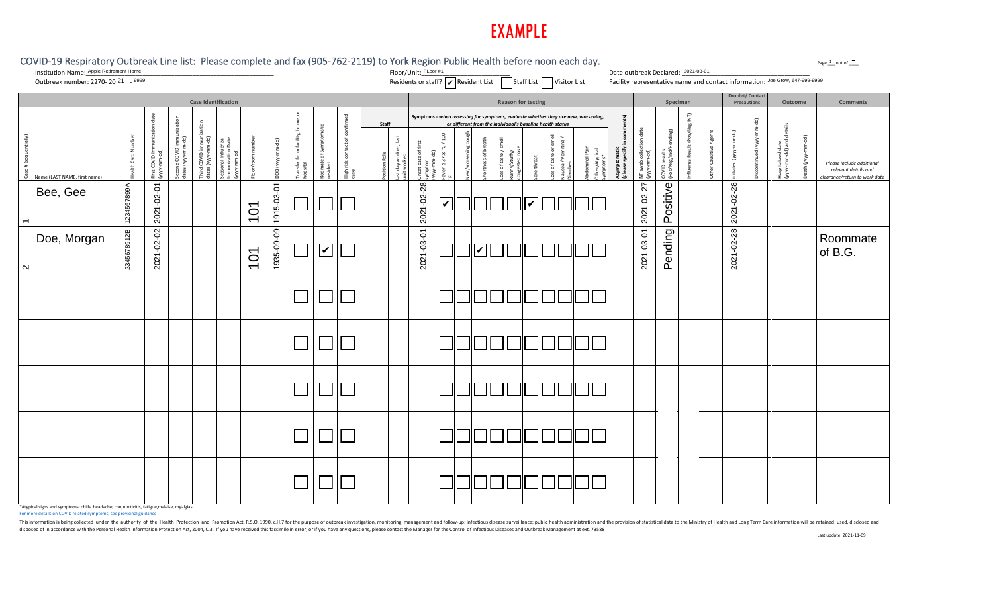|                       | COVID-19 Respiratory Outbreak Line list: Please complete and fax (905-762-2119) to York Region Public Health before noon each day.<br>Institution Name: Apple Retirement Home<br>Outbreak number: 2270-2021___ 9999 |                 |                               |                                         |                                           |                                                         |                   |                  |                                              |                                         |                                        |                     |                                     | Floor/Unit: FLoor #1<br>Residents or staff?<br>$\boxed{\bigtriangledown}$ Resident List<br><br><br><br><br><br><br><br><br><br><br><br><br><br><br><br><br><br><br><br><br><br> |                                              |            |                         |                                                                                                                                                                                                 |                 |          |      |                                          |                                | Date outbreak Declared: 2021-03-01                |                                              |                        |                          |                                       | Facility representative name and contact information: Joe Grow, 647-999-9999 |              | Page 1 out of ____                                                                 |
|-----------------------|---------------------------------------------------------------------------------------------------------------------------------------------------------------------------------------------------------------------|-----------------|-------------------------------|-----------------------------------------|-------------------------------------------|---------------------------------------------------------|-------------------|------------------|----------------------------------------------|-----------------------------------------|----------------------------------------|---------------------|-------------------------------------|---------------------------------------------------------------------------------------------------------------------------------------------------------------------------------|----------------------------------------------|------------|-------------------------|-------------------------------------------------------------------------------------------------------------------------------------------------------------------------------------------------|-----------------|----------|------|------------------------------------------|--------------------------------|---------------------------------------------------|----------------------------------------------|------------------------|--------------------------|---------------------------------------|------------------------------------------------------------------------------|--------------|------------------------------------------------------------------------------------|
|                       |                                                                                                                                                                                                                     |                 |                               |                                         |                                           | <b>Case Identification</b>                              |                   |                  |                                              |                                         |                                        |                     |                                     |                                                                                                                                                                                 |                                              |            |                         | <b>Reason for testing</b>                                                                                                                                                                       |                 |          |      |                                          |                                | Specimen                                          |                                              |                        |                          | <b>Droplet/Contact</b><br>Precautions |                                                                              | Outcome      | <b>Comments</b>                                                                    |
| Case # (sequentially) | Name (LAST NAME, first name)                                                                                                                                                                                        | alth Card Numbe | First COVID imr<br>(ww-mm-dd) | Second COVID immu<br>dates (yyyy-mm-dd) | Third COVID immunia<br>dates (yyyy-mm-dd) | Seasonal Influenza<br>Immunization Date<br>(yyyy-mm-dd) | Floor/room number | DOB (yyyy-mm-dd) | Transfer from facility, home, or<br>hopsital | Roomate of sym <sub>l</sub><br>resident | High risk contact of confirmed<br>case | Staff<br>ition Role | ast day worked, last<br>Init worked | Inset date of first<br>ymptom                                                                                                                                                   | $^{\circ}$ C/100<br>$\geq 37.8$<br>ever<br>ξ | w/worsenir | tness of br             | Symptoms - when assessing for symptoms, evaluate whether they are new, worsening,<br>or different from the individual's baseline health status<br>ss of taste /<br>unny/Stuffy/<br>pngested nos | <i>rethroat</i> | of taste | Atyp | 15)<br>Asymptomatic<br>(please specify i | NP swab collec<br>(yyyy-mm-dd) | ig)<br>results<br>leg/ind/l<br>COVID <sub>1</sub> | $\overline{\Xi}$<br>nfluenza Result (Pos/Neg | Other Causitive Agents | n-dd)<br>nitiated (yyyy- | ਰ<br>ਚ<br>Ę<br>Discontinued (yyyy-    | Hospitalized date<br>(yyyy-mm-dd) and details                                | Death (yyyy- | Please include additional<br>relevant details and<br>clearance/return to work date |
| $\overline{ }$        | Bee, Gee                                                                                                                                                                                                            | 1234567899A     | 2021-02-01                    |                                         |                                           |                                                         | 101               | 1915-03-01       | $\mathcal{L}$                                |                                         |                                        |                     |                                     | 2021-02-28                                                                                                                                                                      | ✓                                            |            |                         |                                                                                                                                                                                                 | V               |          |      |                                          | 2021-02-27                     | Positive                                          |                                              |                        | 2021-02-28               |                                       |                                                                              |              |                                                                                    |
| $\sim$                | Doe, Morgan                                                                                                                                                                                                         | 2345678912B     | 2021-02-02                    |                                         |                                           |                                                         | <b>101</b>        | 1935-09-09       |                                              | $\overline{\mathbf{v}}$                 |                                        |                     |                                     | 2021-03-01                                                                                                                                                                      |                                              |            | $\overline{\mathbf{v}}$ |                                                                                                                                                                                                 |                 |          |      |                                          | 2021-03-01                     | Pending                                           |                                              |                        | 2021-02-28               |                                       |                                                                              |              | Roommate<br>of B.G.                                                                |
|                       |                                                                                                                                                                                                                     |                 |                               |                                         |                                           |                                                         |                   |                  |                                              |                                         |                                        |                     |                                     |                                                                                                                                                                                 |                                              |            |                         |                                                                                                                                                                                                 |                 |          |      |                                          |                                |                                                   |                                              |                        |                          |                                       |                                                                              |              |                                                                                    |
|                       |                                                                                                                                                                                                                     |                 |                               |                                         |                                           |                                                         |                   |                  |                                              |                                         |                                        |                     |                                     |                                                                                                                                                                                 |                                              |            |                         |                                                                                                                                                                                                 |                 |          |      |                                          |                                |                                                   |                                              |                        |                          |                                       |                                                                              |              |                                                                                    |
|                       |                                                                                                                                                                                                                     |                 |                               |                                         |                                           |                                                         |                   |                  |                                              |                                         |                                        |                     |                                     |                                                                                                                                                                                 |                                              |            |                         |                                                                                                                                                                                                 |                 |          |      |                                          |                                |                                                   |                                              |                        |                          |                                       |                                                                              |              |                                                                                    |
|                       |                                                                                                                                                                                                                     |                 |                               |                                         |                                           |                                                         |                   |                  |                                              |                                         |                                        |                     |                                     |                                                                                                                                                                                 |                                              |            |                         |                                                                                                                                                                                                 |                 |          |      |                                          |                                |                                                   |                                              |                        |                          |                                       |                                                                              |              |                                                                                    |
|                       |                                                                                                                                                                                                                     |                 |                               |                                         |                                           |                                                         |                   |                  |                                              |                                         |                                        |                     |                                     |                                                                                                                                                                                 |                                              |            |                         |                                                                                                                                                                                                 |                 |          |      |                                          |                                |                                                   |                                              |                        |                          |                                       |                                                                              |              |                                                                                    |

\*Atypical signs and symptoms: chills, headache, conjunctivitis, fatigue,malaise, myalgias

For more details on COVID related symptoms, see provicinal guidance

This information is being collected under the authority of the Health Protection and Promotion Act, R.S.O. 1990, c.H.7 for the purpose of outbreak investigation, monitoring, management and follow-up; infectious disease sur disposed of in accordance with the Personal Health Information Protection Act, 2004, C.3. If you have received this facsimile in error, or if you have any questions, please contact the Manager for the Control of Infectious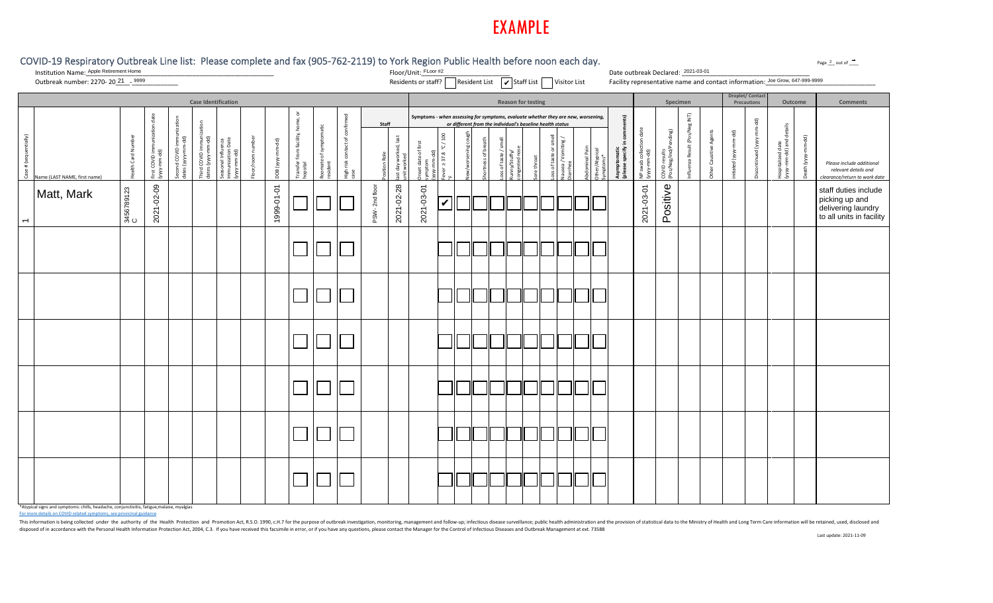

#### COVID-19 Respiratory Outbreak Line list: Please complete and fax (905-762-2119) to York Region Public Health before noon each day. Floor/Unit:\_FLoor #2 Date outbreak Declared: 2021-03-01 Institution Name:\_\_\_\_\_\_\_\_\_\_\_\_\_\_\_\_\_\_\_\_\_\_\_\_\_\_\_\_\_\_\_\_\_\_\_\_\_\_\_\_\_\_\_\_\_\_\_\_\_\_\_\_\_ Date outbreak Declared: \_\_\_\_\_\_\_\_\_\_\_\_\_\_\_\_\_\_\_\_\_\_\_\_\_\_\_\_\_\_\_\_\_\_\_\_ Apple Retirement Home Residents or staff? ☐ Resident List Staff List Visitor List Facility representative name and contact information:\_\_\_\_\_\_\_\_\_\_\_\_\_\_\_\_\_\_\_\_\_\_\_\_\_\_\_\_\_\_\_ <sup>21</sup> <sup>9999</sup> FLoor #2 ✔ Outbreak number: 2270- 20<sup>21</sup> - 9999 Facility representative name and contact information: Joe Grow, 647-999-9999 Droplet/ Cont<br>Precaution **Case Identification Reason for testing Specimen Outcome Comments** Transfer from facility, home, or **Symptoms -** *when assessing for symptoms, evaluate whether they are new, worsening,*   $\overline{\mathsf{I}}$  COVID immunization date High risk contact of confirmed  $\overline{2}$ Influenza Result (Pos/Neg INT) Second COVID immunization **(please specify in comments)**  $\widehat{\mathbf{z}}$ Discontinued (yyyy-mm-dd) immunization **Staff** *or different from the individual's baseline health status* ad date<br>-dd) and details **Iuenza Result (Pos/Neg** Roomate of symptomatic (yyyy-mm-dd) and details NP swab collection date :OVID results<br>Pos/Neg/Ind/Pending)  $\overline{p}$ (Pos/Neg/Ind/Pending) Other Causitive Agents  $\mathbf{S}$ initiated (yyyy-mm-dd) -≥ Fever ≥ 37.8 °C / 100 New/worsening cough न<br>बाह्य ed, last Case # (sequentially) Health Card Number  $\overline{\mathfrak{g}}$ nal Influenza<br>nization Date<br>mm-dd) last day worked, last Loss of taste or smell ed (yyyy-Floor/room number  $\overline{a}$  $ing /$ Nausea / Vomiting / Death (yyyy-mm-dd) dates (yyyy-mm-dd) dates (yyyy-mm-dd) Immunization Date (bb-mm-dd)<br>Bb-mm-dd is of taste / smell Seasonal Influenza offirst Shortness of breath Loss of taste / smel DOB (yyyy-mm-dd) Onset date of first −. Hospitalized date  $\tilde{c}$ iitated (yyyy-mr minal Pain ı Card Nur First COVID imm<br>(yyyy-mm-dd) Second COVID in<br>dates (yyyy-mm-/Atypical tomatic<br>: specify i **Asymptomatic**  congested nose Abdominal Pain Other/Atypical hird COVID in<br>ates (yyyy-m Runny/Stuffy/  $\frac{d}{2}$   $\frac{d}{2}$ COVID results (yyyy-mm-dd) (yyyy-mm-dd) ver  $\geq$  37.8 (yyyy-mm-dd) (yyyy-mm-dd)  $\ddot{\sigma}$ Position Role of taste (yyy unit worked date Sore throat Symptoms\* oomate o<br>esident symptom Pea<br>Pea her<br>Ba *Please include additional*  ž ιãγ alth *relevant details and*  case ≩ ame (LAST NAME, first name) *clearance/return to work date* °F Matt, Mark  $\begin{bmatrix} 88 \\ 28 \\ 26 \\ 36 \\ 36 \\ 36 \end{bmatrix}$ C2021-02-09 1999-01-01 PSW- 2nd floor 2021-02-28 2021-03-01 ✔ 2021-03-01 Positive staff duties include picking up and delivering laundry to all units in facility $\overline{\phantom{a}}$

\*Atypical signs and symptoms: chills, headache, conjunctivitis, fatigue,malaise, myalgias

For more details on COVID related symptoms, see provicinal guidance

This information is being collected under the authority of the Health Protection and Promotion Act, R.S.O. 1990, c.H.7 for the purpose of outbreak investigation, monitoring, management and follow-up; infectious disease sur disposed of in accordance with the Personal Health Information Protection Act, 2004, C.3. If you have received this facsimile in error, or if you have any questions, please contact the Manager for the Control of Infectious

Page  $2$  out of  $\blacksquare$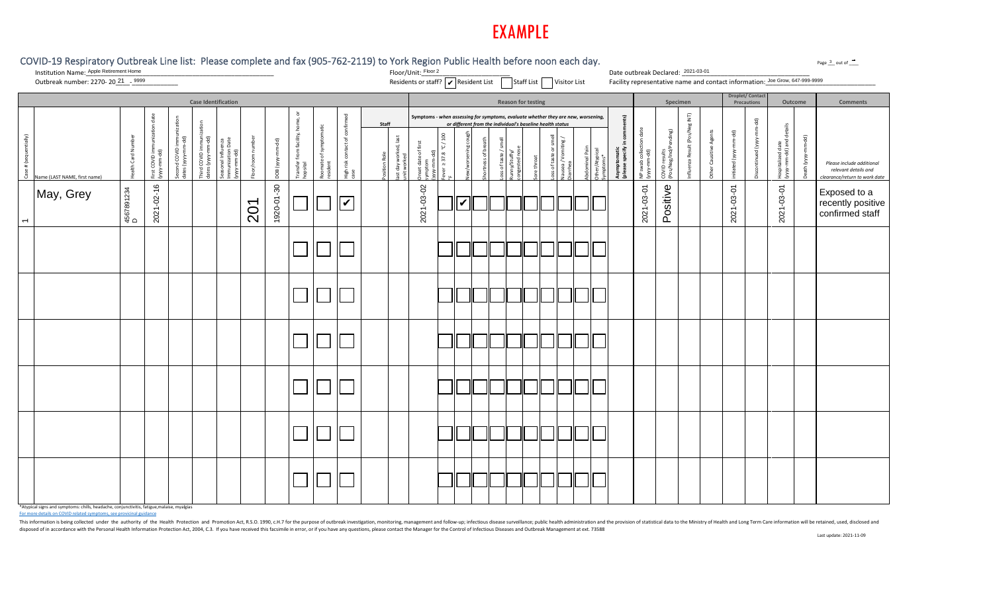| COVID-19 Respiratory Outbreak Line list: Please complete and fax (905-762-2119) to York Region Public Health before noon each day.<br>Institution Name: Apple Retirement Home |                    |                                                   |                                         |                                           |                                                         |                       |                  |                                                                 |                                    |                                          |       |                                      | Floor/Unit: Floor 2                                                                                                                 |                            |                           |               |                                                                               |                              |                           |          |                                 |                                               | Date outbreak Declared: 2021-03-01            |                                            |                                            |                                                    |                               |                        |                                                                              |                                               |             | Page 3 out of ____                                                                 |
|-------------------------------------------------------------------------------------------------------------------------------------------------------------------------------|--------------------|---------------------------------------------------|-----------------------------------------|-------------------------------------------|---------------------------------------------------------|-----------------------|------------------|-----------------------------------------------------------------|------------------------------------|------------------------------------------|-------|--------------------------------------|-------------------------------------------------------------------------------------------------------------------------------------|----------------------------|---------------------------|---------------|-------------------------------------------------------------------------------|------------------------------|---------------------------|----------|---------------------------------|-----------------------------------------------|-----------------------------------------------|--------------------------------------------|--------------------------------------------|----------------------------------------------------|-------------------------------|------------------------|------------------------------------------------------------------------------|-----------------------------------------------|-------------|------------------------------------------------------------------------------------|
| Outbreak number: 2270-2021 - 9999                                                                                                                                             |                    |                                                   |                                         |                                           |                                                         |                       |                  |                                                                 |                                    |                                          |       |                                      | Residents or staff?   Resident List   Staff List   Visitor List                                                                     |                            |                           |               |                                                                               |                              |                           |          |                                 |                                               |                                               |                                            |                                            |                                                    |                               |                        | Facility representative name and contact information: Joe Grow, 647-999-9999 |                                               |             |                                                                                    |
|                                                                                                                                                                               |                    |                                                   |                                         |                                           | <b>Case Identification</b>                              |                       |                  |                                                                 |                                    |                                          |       |                                      |                                                                                                                                     |                            |                           |               |                                                                               |                              | <b>Reason for testing</b> |          |                                 |                                               |                                               |                                            | Specimen                                   |                                                    |                               |                        | <b>Droplet/Contact</b><br>Precautions                                        | Outcome                                       |             | <b>Comments</b>                                                                    |
| entially)<br># (seq<br>Case<br>Name (LAST NAME, first name)                                                                                                                   | Health Card Number | unization date<br>First COVID imm<br>(yyyy-mm-dd) | Second COVID immu<br>dates (yyyy-mm-dd) | Third COVID immuniz<br>dates (yyyy-mm-dd) | Seasonal Influenza<br>Immunization Date<br>(yyyy-mm-dd) | n numbe<br>Floor/roon | DOB (yyyy-mm-dd) | $\bar{\circ}$<br>home,<br>Transfer from facility, h<br>hopsital | Roomate of symptomatic<br>resident | tact of confir<br>High risk cont<br>case | Staff | last day worked, last<br>unit worked | Symptoms - when assessing for symptoms, evaluate whether they are new, worsening,<br>Onset date of first<br>symptom<br>(yyyy-mm-dd) | °C/100<br>ever $\geq$ 37.8 | w/worsening c             | ortness of br | or different from the individual's baseline health status<br>taste/<br>iss of | unny/Stuffy/<br>ongested nos | <i>ire</i> throat         | of taste | Nausea / Vomiting /<br>Diarrhea | Abdominal Pair<br>Other/Atypical<br>Symptoms* | ints)<br>Asymptomatic<br>(please specify in c | date<br>NP swab collection<br>(yyyy-mm-dd) | ending)<br>COVID results<br>Pos/Neg/Ind/Pe | $\overline{\mathsf{E}}$<br>Influenza Result (Pos/N | <b>Other Causitive Agents</b> | initiated (yyyy-mm-dd) | ਭੁ<br>Discontinued (yyyy-                                                    | Hospitalized date<br>(yyyy-mm-dd) and details | Death (yyyy | Please include additional<br>relevant details and<br>clearance/return to work date |
| May, Grey<br>$\overline{\phantom{0}}$                                                                                                                                         | 4567891234<br>D    | 2021-02-16                                        |                                         |                                           |                                                         | 201                   | 1920-01-30       |                                                                 |                                    | $\overline{\mathbf{v}}$                  |       |                                      | 2021-03-02                                                                                                                          |                            | $\overline{\mathbb{R}}^n$ |               |                                                                               |                              |                           |          |                                 |                                               |                                               | 2021-03-01                                 | Positive                                   |                                                    |                               | 2021-03-01             |                                                                              | 2021-03-01                                    |             | Exposed to a<br>recently positive<br>confirmed staff                               |
|                                                                                                                                                                               |                    |                                                   |                                         |                                           |                                                         |                       |                  |                                                                 |                                    |                                          |       |                                      |                                                                                                                                     |                            |                           |               |                                                                               |                              |                           |          |                                 |                                               |                                               |                                            |                                            |                                                    |                               |                        |                                                                              |                                               |             |                                                                                    |
|                                                                                                                                                                               |                    |                                                   |                                         |                                           |                                                         |                       |                  |                                                                 |                                    |                                          |       |                                      |                                                                                                                                     |                            |                           |               |                                                                               |                              |                           |          |                                 |                                               |                                               |                                            |                                            |                                                    |                               |                        |                                                                              |                                               |             |                                                                                    |
|                                                                                                                                                                               |                    |                                                   |                                         |                                           |                                                         |                       |                  |                                                                 |                                    |                                          |       |                                      |                                                                                                                                     |                            |                           |               |                                                                               |                              |                           |          |                                 |                                               |                                               |                                            |                                            |                                                    |                               |                        |                                                                              |                                               |             |                                                                                    |
|                                                                                                                                                                               |                    |                                                   |                                         |                                           |                                                         |                       |                  |                                                                 |                                    |                                          |       |                                      |                                                                                                                                     |                            |                           |               |                                                                               |                              |                           |          |                                 |                                               |                                               |                                            |                                            |                                                    |                               |                        |                                                                              |                                               |             |                                                                                    |
|                                                                                                                                                                               |                    |                                                   |                                         |                                           |                                                         |                       |                  |                                                                 |                                    |                                          |       |                                      |                                                                                                                                     |                            |                           |               |                                                                               |                              |                           |          |                                 |                                               |                                               |                                            |                                            |                                                    |                               |                        |                                                                              |                                               |             |                                                                                    |
|                                                                                                                                                                               |                    |                                                   |                                         |                                           |                                                         |                       |                  |                                                                 |                                    |                                          |       |                                      |                                                                                                                                     |                            |                           |               |                                                                               |                              |                           |          |                                 |                                               |                                               |                                            |                                            |                                                    |                               |                        |                                                                              |                                               |             |                                                                                    |

\*Atypical signs and symptoms: chills, headache, conjunctivitis, fatigue,malaise, myalgias

For more details on COVID related symptoms, see provicinal guidance

This information is being collected under the authority of the Health Protection and Promotion Act, R.S.O. 1990, c.H.7 for the purpose of outbreak investigation, monitoring, management and follow-up; infectious disease sur disposed of in accordance with the Personal Health Information Protection Act, 2004, C.3. If you have received this facsimile in error, or if you have any questions, please contact the Manager for the Control of Infectious

 $3$  out of  $\cdot$